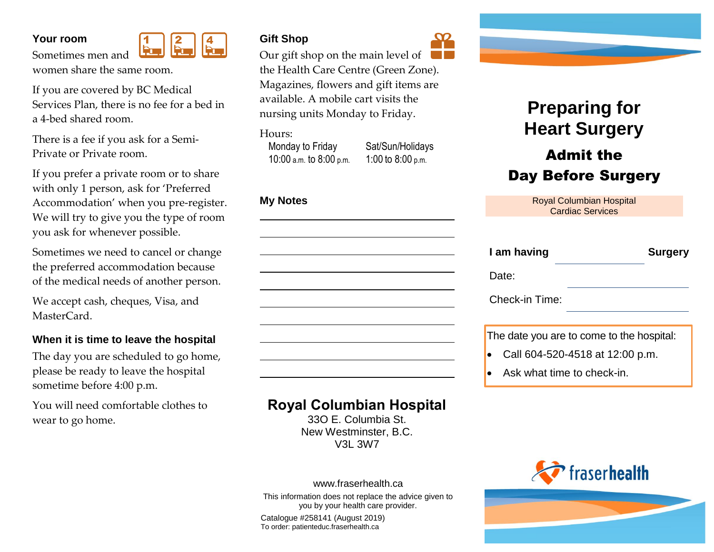#### **Your room**

Sometimes men and



women share the same room.

If you are covered by BC Medical Services Plan, there is no fee for a bed in a 4-bed shared room.

There is a fee if you ask for a Semi-Private or Private room.

If you prefer a private room or to share with only 1 person, ask for 'Preferred Accommodation' when you pre-register. We will try to give you the type of room you ask for whenever possible.

Sometimes we need to cancel or change the preferred accommodation because of the medical needs of another person.

We accept cash, cheques, Visa, and MasterCard.

#### **When it is time to leave the hospital**

The day you are scheduled to go home, please be ready to leave the hospital sometime before 4:00 p.m.

You will need comfortable clothes to wear to go home.



Our gift shop on the main level of  $\Box$ the Health Care Centre (Green Zone). Magazines, flowers and gift items are available. A mobile cart visits the nursing units Monday to Friday.

Hours:

10:00 a.m. to 8:00 p.m. 1:00 to 8:00 p.m.

Monday to Friday Sat/Sun/Holidays

### **My Notes**



## **Royal Columbian Hospital**

33O E. Columbia St. New Westminster, B.C. V3L 3W7



This information does not replace the advice given to you by your health care provider.

Catalogue #258141 (August 2019) To order: patienteduc.fraserhealth.ca



# **Preparing for Heart Surgery**

## Admit the Day Before Surgery

| <b>Royal Columbian Hospital</b> |
|---------------------------------|
| <b>Cardiac Services</b>         |

| I am having    | <b>Surgery</b> |
|----------------|----------------|
| Date:          |                |
| Check-in Time: |                |
|                |                |

The date you are to come to the hospital:

- Call 604-520-4518 at 12:00 p.m.
- Ask what time to check-in.